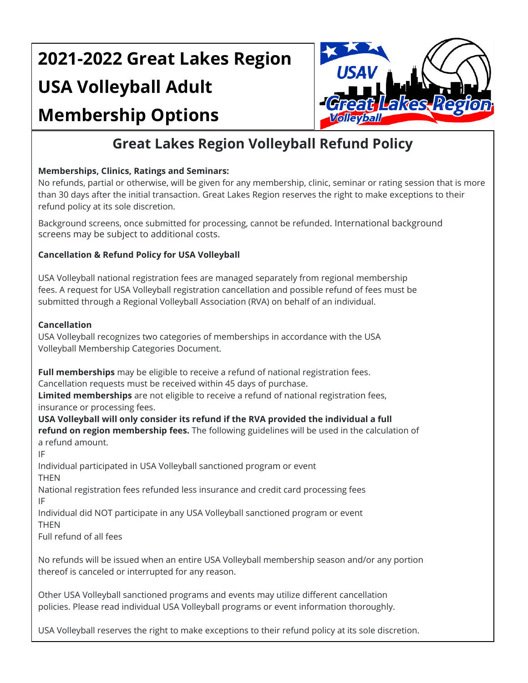# **2021-2022 Great Lakes Region USA Volleyball Adult**

## **Membership Options**



### **Great Lakes Region Volleyball Refund Policy**

#### **Memberships, Clinics, Ratings and Seminars:**

No refunds, partial or otherwise, will be given for any membership, clinic, seminar or rating session that is more than 30 days after the initial transaction. Great Lakes Region reserves the right to make exceptions to their refund policy at its sole discretion.

Background screens, once submitted for processing, cannot be refunded. International background screens may be subject to additional costs.

#### **Cancellation & Refund Policy for USA Volleyball**

USA Volleyball national registration fees are managed separately from regional membership fees. A request for USA Volleyball registration cancellation and possible refund of fees must be submitted through a Regional Volleyball Association (RVA) on behalf of an individual.

#### **Cancellation**

USA Volleyball recognizes two categories of memberships in accordance with the USA Volleyball Membership Categories Document.

**Full memberships** may be eligible to receive a refund of national registration fees.

Cancellation requests must be received within 45 days of purchase.

**Limited memberships** are not eligible to receive a refund of national registration fees,

insurance or processing fees.

**USA Volleyball will only consider its refund if the RVA provided the individual a full refund on region membership fees.** The following guidelines will be used in the calculation of a refund amount.

IF

Individual participated in USA Volleyball sanctioned program or event THEN

National registration fees refunded less insurance and credit card processing fees IF

Individual did NOT participate in any USA Volleyball sanctioned program or event **THEN** 

Full refund of all fees

No refunds will be issued when an entire USA Volleyball membership season and/or any portion thereof is canceled or interrupted for any reason.

Other USA Volleyball sanctioned programs and events may utilize different cancellation policies. Please read individual USA Volleyball programs or event information thoroughly.

USA Volleyball reserves the right to make exceptions to their refund policy at its sole discretion.